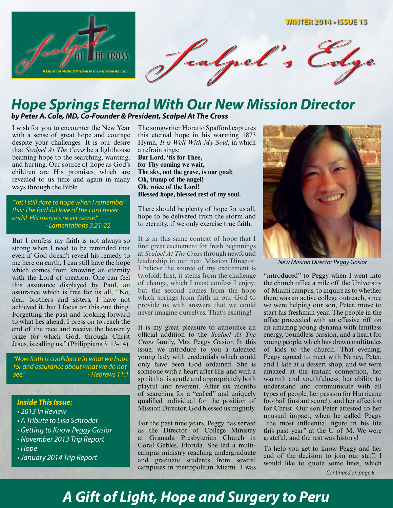

### *Hope Springs Eternal With Our New Mission Director by Peter A. Cole, MD, Co-Founder & President, Scalpel At The Cross*

I wish for you to encounter the New Year with a sense of great hope and courage despite your challenges. It is our desire that *Scalpel At The Cross* be a lighthouse beaming hope to the searching, wanting, and hurting. Our source of hope as God's children are His promises, which are revealed to us time and again in many ways through the Bible.

*"Yet I still dare to hope when I remember this: The faithful love of the Lord never ends! His mercies never cease." - Lamentations 3:21-22*

But I confess my faith is not always so strong when I need to be reminded that even if God doesn't reveal his remedy to me here on earth, I can still have the hope which comes from knowing an eternity with the Lord of creation. One can feel this assurance displayed by Paul, an assurance which is free for us all, "No, dear brothers and sisters, I have not achieved it, but I focus on this one thing: Forgetting the past and looking forward to what lies ahead, I press on to reach the end of the race and receive the heavenly prize for which God, through Christ Jesus, is calling us." (Philippians 3: 13-14).

*"Now faith is confidence in what we hope for and assurance about what we do not see." - Hebrews 11:1*

#### *Inside This Issue:*

- *2013 In Review*
- *A Tribute to Lisa Schroder*
- *Getting to Know Peggy Gasior*
- *November 2013 Trip Report*
- *Hope*
- *January 2014 Trip Report*

The songwriter Horatio Spafford captures this eternal hope in his warming 1873 Hymn, *It is Well With My Soul*, in which a refrain sings: **But Lord, 'tis for Thee, for Thy coming we wait, The sky, not the grave, is our goal; Oh, trump of the angel! Oh, voice of the Lord!** 

**Blessed hope, blessed rest of my soul.**

There should be plenty of hope for us all, hope to be delivered from the storm and to eternity, if we only exercise true faith.

It is in this same context of hope that I find great excitement for fresh beginnings at *Scalpel At The Cross* through newfound leadership in our next Mission Director. I believe the source of my excitement is twofold: first, it stems from the challenge of change, which I must confess I enjoy; but the second comes from the hope which springs from faith in our God to provide us with answers that we could never imagine ourselves. That's exciting!

It is my great pleasure to announce an official addition to the *Scalpel At The Cross* family, Mrs. Peggy Gasior. In this issue, we introduce to you a talented young lady with credentials which could only have been God ordained. She is someone with a heart after His and with a spirit that is gentle and appropriately both playful and reverent. After six months of searching for a "called" and uniquely qualified individual for the position of Mission Director, God blessed us mightily.

For the past nine years, Peggy has served as the Director of College Ministry at Granada Presbyterian Church in Coral Gables, Florida. She led a multicampus ministry reaching undergraduate and graduate students from several campuses in metropolitan Miami. I was



*New Mission Director Peggy Gasior*

"introduced" to Peggy when I went into the church office a mile off the University of Miami campus, to inquire as to whether there was an active college outreach, since we were helping our son, Peter, move to start his freshman year. The people in the office proceeded with an effusive riff on an amazing young dynama with limitless energy, boundless passion, and a heart for young people, which has drawn multitudes of kids to the church. That evening, Peggy agreed to meet with Nancy, Peter, and I late at a dessert shop, and we were amazed at the instant connection, her warmth and youthfulness, her ability to understand and communicate with all types of people, her passion for Hurricane football (instant score!), and her affection for Christ. Our son Peter attested to her unusual impact, when he called Peggy "the most influential figure in his life this past year" at the U of M. We were grateful, and the rest was history!

To help you get to know Peggy and her end of the decision to join our staff, I would like to quote some lines, which

*Continued on page 8*

# *A Gift of Light, Hope and Surgery to Peru*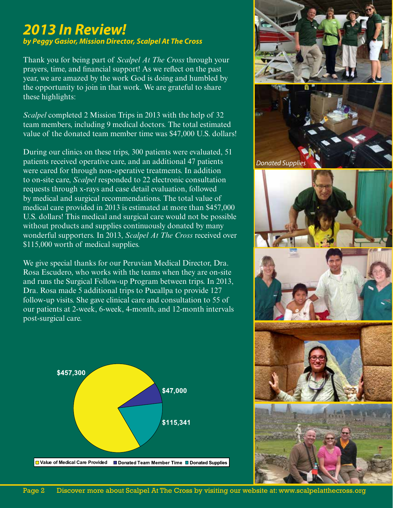## *2013 In Review! by Peggy Gasior, Mission Director, Scalpel At The Cross*

Thank you for being part of *Scalpel At The Cross* through your prayers, time, and financial support! As we reflect on the past year, we are amazed by the work God is doing and humbled by the opportunity to join in that work. We are grateful to share these highlights:

*Scalpel* completed 2 Mission Trips in 2013 with the help of 32 team members, including 9 medical doctors. The total estimated value of the donated team member time was \$47,000 U.S. dollars!

During our clinics on these trips, 300 patients were evaluated, 51 patients received operative care, and an additional 47 patients were cared for through non-operative treatments. In addition to on-site care, *Scalpel* responded to 22 electronic consultation requests through x-rays and case detail evaluation, followed by medical and surgical recommendations. The total value of medical care provided in 2013 is estimated at more than \$457,000 U.S. dollars! This medical and surgical care would not be possible without products and supplies continuously donated by many wonderful supporters. In 2013, *Scalpel At The Cross* received over \$115,000 worth of medical supplies.

We give special thanks for our Peruvian Medical Director, Dra. Rosa Escudero, who works with the teams when they are on-site and runs the Surgical Follow-up Program between trips. In 2013, Dra. Rosa made 5 additional trips to Pucallpa to provide 127 follow-up visits. She gave clinical care and consultation to 55 of our patients at 2-week, 6-week, 4-month, and 12-month intervals post-surgical care.



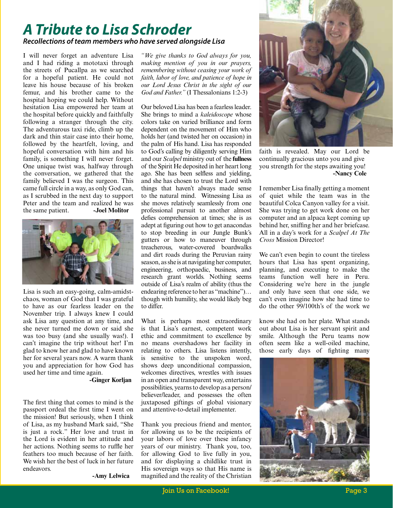### *A Tribute to Lisa Schroder Recollections of team members who have served alongside Lisa*

I will never forget an adventure Lisa and I had riding a mototaxi through the streets of Pucallpa as we searched for a hopeful patient. He could not leave his house because of his broken femur, and his brother came to the hospital hoping we could help. Without hesitation Lisa empowered her team at the hospital before quickly and faithfully following a stranger through the city. The adventurous taxi ride, climb up the dark and thin stair case into their home, followed by the heartfelt, loving, and hopeful conversation with him and his family, is something I will never forget. One unique twist was, halfway through the conversation, we gathered that the family believed I was the surgeon. This came full circle in a way, as only God can, as I scrubbed in the next day to support Peter and the team and realized he was the same patient. **-Joel Molitor**



Lisa is such an easy-going, calm-amidstchaos, woman of God that I was grateful to have as our fearless leader on the November trip. I always knew I could ask Lisa any question at any time, and she never turned me down or said she was too busy (and she usually was!). I can't imagine the trip without her! I'm glad to know her and glad to have known her for several years now. A warm thank you and appreciation for how God has used her time and time again.

#### **-Ginger Korljan**

The first thing that comes to mind is the passport ordeal the first time I went on the mission! But seriously, when I think of Lisa, as my husband Mark said, "She is just a rock." Her love and trust in the Lord is evident in her attitude and her actions. Nothing seems to ruffle her feathers too much because of her faith. We wish her the best of luck in her future endeavors.

**-Amy Lelwica**

*"We give thanks to God always for you, making mention of you in our prayers, remembering without ceasing your work of faith, labor of love, and patience of hope in our Lord Jesus Christ in the sight of our God and Father."* (I Thessalonians 1:2-3)

Our beloved Lisa has been a fearless leader. She brings to mind a *kaleidoscope* whose colors take on varied brilliance and form dependent on the movement of Him who holds her (and twisted her on occasion) in the palm of His hand. Lisa has responded to God's calling by diligently serving Him and our *Scalpel* ministry out of the **fullness** of the Spirit He deposited in her heart long ago. She has been selfless and yielding, and she has chosen to trust the Lord with things that haven't always made sense to the natural mind. Witnessing Lisa as she moves relatively seamlessly from one professional pursuit to another almost defies comprehension at times; she is as adept at figuring out how to get anacondas to stop breeding in our Jungle Bunk's gutters or how to maneuver through treacherous, water-covered boardwalks and dirt roads during the Peruvian rainy season, as she is at navigating her computer, engineering, orthopaedic, business, and research grant worlds. Nothing seems outside of Lisa's realm of ability (thus the endearing reference to her as "machine")… though with humility, she would likely beg to differ.

What is perhaps most extraordinary is that Lisa's earnest, competent work ethic and commitment to excellence by no means overshadows her facility in relating to others. Lisa listens intently, is sensitive to the unspoken word, shows deep unconditional compassion, welcomes directives, wrestles with issues in an open and transparent way, entertains possibilities, yearns to develop as a person/ believer/leader, and possesses the often juxtaposed giftings of global visionary and attentive-to-detail implementer.

Thank you precious friend and mentor, for allowing us to be the recipients of your labors of love over these infancy years of our ministry. Thank you, too, for allowing God to live fully in you, and for displaying a childlike trust in His sovereign ways so that His name is magnified and the reality of the Christian



faith is revealed. May our Lord be continually gracious unto you and give you strength for the steps awaiting you! **-Nancy Cole**

I remember Lisa finally getting a moment of quiet while the team was in the beautiful Colca Canyon valley for a visit. She was trying to get work done on her computer and an alpaca kept coming up behind her, sniffing her and her briefcase. All in a day's work for a *Scalpel At The Cross* Mission Director!

We can't even begin to count the tireless hours that Lisa has spent organizing, planning, and executing to make the teams function well here in Peru. Considering we're here in the jungle and only have seen that one side, we can't even imagine how she had time to do the other 99/100th's of the work we

know she had on her plate. What stands out about Lisa is her servant spirit and smile. Although the Peru teams now often seem like a well-oiled machine, those early days of fighting many

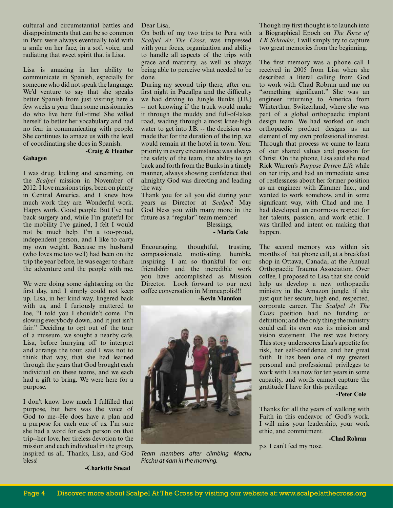cultural and circumstantial battles and disappointments that can be so common in Peru were always eventually told with a smile on her face, in a soft voice, and radiating that sweet spirit that is Lisa.

Lisa is amazing in her ability to communicate in Spanish, especially for someone who did not speak the language. We'd venture to say that she speaks better Spanish from just visiting here a few weeks a year than some missionaries do who live here full-time! She willed herself to better her vocabulary and had no fear in communicating with people. She continues to amaze us with the level of coordinating she does in Spanish.

**Gahagen**

#### **-Craig & Heather**

I was drug, kicking and screaming, on the *Scalpel* mission in November of 2012. I love missions trips, been on plenty in Central America, and I knew how much work they are. Wonderful work. Happy work. Good people. But I've had back surgery and, while I'm grateful for the mobility I've gained, I felt I would not be much help. I'm a too-proud, independent person, and I like to carry my own weight. Because my husband (who loves me too well) had been on the trip the year before, he was eager to share the adventure and the people with me.

We were doing some sightseeing on the first day, and I simply could not keep up. Lisa, in her kind way, lingered back with us, and I furiously muttered to Joe, "I told you I shouldn't come. I'm slowing everybody down, and it just isn't fair." Deciding to opt out of the tour of a museum, we sought a nearby cafe. Lisa, before hurrying off to interpret and arrange the tour, said I was not to think that way, that she had learned through the years that God brought each individual on these teams, and we each had a gift to bring. We were here for a purpose.

I don't know how much I fulfilled that purpose, but hers was the voice of God to me--He does have a plan and a purpose for each one of us. I'm sure she had a word for each person on that trip--her love, her tireless devotion to the mission and each individual in the group, inspired us all. Thanks, Lisa, and God bless!

Dear Lisa,

On both of my two trips to Peru with *Scalpel At The Cross*, was impressed with your focus, organization and ability to handle all aspects of the trips with grace and maturity, as well as always being able to perceive what needed to be done.

During my second trip there, after our first night in Pucallpa and the difficulty we had driving to Jungle Bunks (J.B.) -- not knowing if the truck would make it through the muddy and full-of-lakes road, wading through almost knee-high water to get into J.B. -- the decision was made that for the duration of the trip, we would remain at the hotel in town. Your priority in every circumstance was always the safety of the team, the ability to get back and forth from the Bunks in a timely manner, always showing confidence that almighty God was directing and leading the way.

Thank you for all you did during your years as Director at *Scalpel*! May God bless you with many more in the future as a "regular" team member!

> Blessings,  **- Marla Cole**

Encouraging, thoughtful, trusting, compassionate, motivating, humble, inspiring. I am so thankful for our friendship and the incredible work you have accomplished as Mission Director. Look forward to our next coffee conversation in Minneapolis!!!

**-Kevin Mannion**



*Team members after climbing Machu Picchu at 4am in the morning.*

Though my first thought is to launch into a Biographical Epoch on *The Force of LK Schroder*, I will simply try to capture two great memories from the beginning.

The first memory was a phone call I received in 2005 from Lisa when she described a literal calling from God to work with Chad Robran and me on "something significant." She was an engineer returning to America from Winterthur, Switzerland, where she was part of a global orthopaedic implant design team. We had worked on such orthopaedic product designs as an element of my own professional interest. Through that process we came to learn of our shared values and passion for Christ. On the phone, Lisa said she read Rick Warren's *Purpose Driven Life* while on her trip, and had an immediate sense of restlessness about her former position as an engineer with Zimmer Inc., and wanted to work somehow, and in some significant way, with Chad and me. I had developed an enormous respect for her talents, passion, and work ethic. I was thrilled and intent on making that happen.

The second memory was within six months of that phone call, at a breakfast shop in Ottawa, Canada, at the Annual Orthopaedic Trauma Association. Over coffee, I proposed to Lisa that she could help us develop a new orthopaedic ministry in the Amazon jungle, if she just quit her secure, high end, respected, corporate career. The *Scalpel At The Cross* position had no funding or definition; and the only thing the ministry could call its own was its mission and vision statement. The rest was history. This story underscores Lisa's appetite for risk, her self-confidence, and her great faith. It has been one of my greatest personal and professional privileges to work with Lisa now for ten years in some capacity, and words cannot capture the gratitude I have for this privilege.

#### **-Peter Cole**

Thanks for all the years of walking with Faith in this endeavor of God's work. I will miss your leadership, your work ethic, and commitment.

**-Chad Robran**

p.s. I can't feel my nose.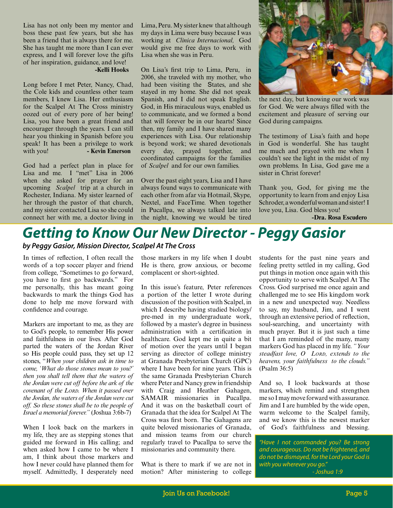Lisa has not only been my mentor and boss these past few years, but she has been a friend that is always there for me. She has taught me more than I can ever express, and I will forever love the gifts of her inspiration, guidance, and love!

#### **-Kelli Hooks**

Long before I met Peter, Nancy, Chad, the Cole kids and countless other team members, I knew Lisa. Her enthusiasm for the Scalpel At The Cross ministry oozed out of every pore of her being! Lisa, you have been a great friend and encourager through the years. I can still hear you thinking in Spanish before you speak! It has been a privilege to work with you! **- Kevin Emerson** 

God had a perfect plan in place for Lisa and me. I "met" Lisa in 2006 when she asked for prayer for an upcoming *Scalpel* trip at a church in Rochester, Indiana. My sister learned of her through the pastor of that church, and my sister contacted Lisa so she could connect her with me, a doctor living in

Lima, Peru. My sister knew that although my days in Lima were busy because I was working at *Clinica Internacional,* God would give me free days to work with Lisa when she was in Peru.

On Lisa's first trip to Lima, Peru, in 2006, she traveled with my mother, who had been visiting the States, and she stayed in my home. She did not speak Spanish, and I did not speak English. God, in His miraculous ways, enabled us to communicate, and we formed a bond that will forever be in our hearts! Since then, my family and I have shared many experiences with Lisa. Our relationship is beyond work; we shared devotionals every day, prayed together, and coordinated campaigns for the families of *Scalpel* and for our own families.

Over the past eight years, Lisa and I have always found ways to communicate with each other from afar via Hotmail, Skype, Nextel, and FaceTime. When together in Pucallpa, we always talked late into the night, knowing we would be tired



the next day, but knowing our work was for God. We were always filled with the excitement and pleasure of serving our God during campaigns.

The testimony of Lisa's faith and hope in God is wonderful. She has taught me much and prayed with me when I couldn't see the light in the midst of my own problems. In Lisa, God gave me a sister in Christ forever!

Thank you, God, for giving me the opportunity to learn from and enjoy Lisa Schroder, a wonderful woman and sister! I love you, Lisa. God bless you!

 **-Dra. Rosa Escudero**

## *Getting to Know Our New Director - Peggy Gasior by Peggy Gasior, Mission Director, Scalpel At The Cross*

In times of reflection, I often recall the words of a top soccer player and friend from college, "Sometimes to go forward, you have to first go backwards." For me personally, this has meant going backwards to mark the things God has done to help me move forward with confidence and courage.

Markers are important to me, as they are to God's people, to remember His power and faithfulness in our lives. After God parted the waters of the Jordan River so His people could pass, they set up 12 stones, "*When your children ask in time to come, 'What do those stones mean to you?' then you shall tell them that the waters of the Jordan were cut off before the ark of the covenant of the Lord. When it passed over the Jordan, the waters of the Jordan were cut off. So these stones shall be to the people of Israel a memorial forever."* (Joshua 3:6b-7)

When I look back on the markers in my life, they are as stepping stones that guided me forward in His calling; and when asked how I came to be where I am, I think about those markers and how I never could have planned them for myself. Admittedly, I desperately need

those markers in my life when I doubt He is there, grow anxious, or become complacent or short-sighted.

In this issue's feature, Peter references a portion of the letter I wrote during discussion of the position with Scalpel, in which I describe having studied biology/ pre-med in my undergraduate work, followed by a master's degree in business administration with a certification in healthcare. God kept me in quite a bit of motion over the years until I began serving as director of college ministry at Granada Presbyterian Church (GPC) where I have been for nine years. This is the same Granada Presbyterian Church where Peter and Nancy grew in friendship with Craig and Heather Gahagen, SAMAIR missionaries in Pucallpa. And it was on the basketball court of Granada that the idea for Scalpel At The Cross was first born. The Gahagens are quite beloved missionaries of Granada, and mission teams from our church regularly travel to Pucallpa to serve the missionaries and community there.

What is there to mark if we are not in motion? After ministering to college

students for the past nine years and feeling pretty settled in my calling, God put things in motion once again with this opportunity to serve with Scalpel At The Cross. God surprised me once again and challenged me to see His kingdom work in a new and unexpected way. Needless to say, my husband, Jim, and I went through an extensive period of reflection, soul-searching, and uncertainty with much prayer. But it is just such a time that I am reminded of the many, many markers God has placed in my life. *"Your steadfast love, O Lord, extends to the heavens, your faithfulness to the clouds."*  (Psalm 36:5)

And so, I look backwards at those markers, which remind and strengthen me so I may move forward with assurance. Jim and I are humbled by the wide open, warm welcome to the Scalpel family, and we know this is the newest marker of God's faithfulness and blessing.

*"Have I not commanded you? Be strong and courageous. Do not be frightened, and do not be dismayed, for the Lord your God is with you wherever you go." - Joshua 1:9*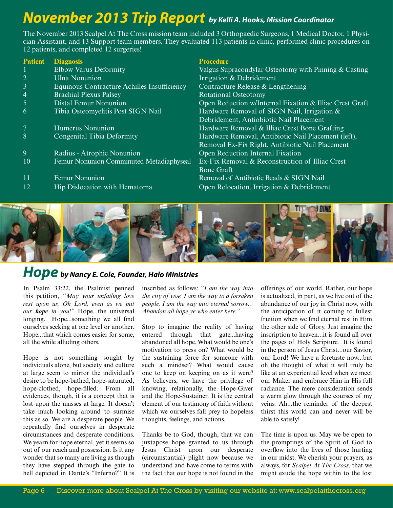# *November 2013 Trip Report by Kelli A. Hooks, Mission Coordinator*

The November 2013 Scalpel At The Cross mission team included 3 Orthopaedic Surgeons, 1 Medical Doctor, 1 Physician Assistant, and 13 Support team members. They evaluated 113 patients in clinic, performed clinic procedures on 12 patients, and completed 12 surgeries!

| <b>Patient</b> | <b>Diagnosis</b>                            | <b>Procedure</b>                                        |
|----------------|---------------------------------------------|---------------------------------------------------------|
|                | <b>Elbow Varus Deformity</b>                | Valgus Supracondylar Osteotomy with Pinning & Casting   |
| 2              | <b>Ulna Nonunion</b>                        | Irrigation & Debridement                                |
| 3              | Equinous Contracture Achilles Insufficiency | Contracture Release & Lengthening                       |
| 4              | <b>Brachial Plexus Palsey</b>               | <b>Rotational Osteotomy</b>                             |
|                | <b>Distal Femur Nonunion</b>                | Open Reduction w/Internal Fixation & Illiac Crest Graft |
| 6              | Tibia Osteomyelitis Post SIGN Nail          | Hardware Removal of SIGN Nail, Irrigation &             |
|                |                                             | Debridement, Antiobiotic Nail Placement                 |
|                | Humerus Nonunion                            | Hardware Removal & Illiac Crest Bone Grafting           |
| 8              | Congenital Tibia Deformity                  | Hardware Removal, Antibiotic Nail Placement (left),     |
|                |                                             | Removal Ex-Fix Right, Antibiotic Nail Placement         |
| 9              | Radius - Atrophic Nonunion                  | Open Reduction Internal Fixation                        |
| 10             | Femur Nonunion Comminuted Metadiaphyseal    | Ex-Fix Removal & Reconstruction of Illiac Crest         |
|                |                                             | <b>Bone Graft</b>                                       |
| 11             | Femur Nonunion                              | Removal of Antibiotic Beads & SIGN Nail                 |
| 12             | Hip Dislocation with Hematoma               | Open Relocation, Irrigation & Debridement               |
|                |                                             |                                                         |
|                |                                             | <b>The Miller of American</b>                           |



## *Hope by Nancy E. Cole, Founder, Halo Ministries*

In Psalm 33:22, the Psalmist penned this petition, *"May your unfailing love rest upon us, Oh Lord, even as we put our hope in you!"* Hope...the universal longing. Hope...something we all find ourselves seeking at one level or another. Hope...that which comes easier for some, all the while alluding others.

Hope is not something sought by individuals alone, but society and culture at large seem to mirror the individual's desire to be hope-bathed, hope-saturated, hope-clothed, hope-filled. From all evidences, though, it is a concept that is lost upon the masses at large. It doesn't take much looking around to surmise this as so. We are a desperate people. We repeatedly find ourselves in desperate circumstances and desperate conditions. We yearn for hope eternal, yet it seems so out of our reach and possession. Is it any wonder that so many are living as though they have stepped through the gate to hell depicted in Dante's "Inferno?" It is

inscribed as follows: *"I am the way into the city of woe. I am the way to a forsaken people. I am the way into eternal sorrow... Abandon all hope ye who enter here."* 

Stop to imagine the reality of having entered through that gate...having abandoned all hope. What would be one's motivation to press on? What would be the sustaining force for someone with such a mindset? What would cause one to keep on keeping on as it were? As believers, we have the privilege of knowing, relationally, the Hope-Giver and the Hope-Sustainer. It is the central element of our testimony of faith without which we ourselves fall prey to hopeless thoughts, feelings, and actions.

Thanks be to God, though, that we can juxtapose hope granted to us through Jesus Christ upon our desperate (circumstantial) plight now because we understand and have come to terms with the fact that our hope is not found in the offerings of our world. Rather, our hope is actualized, in part, as we live out of the abundance of our joy in Christ now, with the anticipation of it coming to fullest fruition when we find eternal rest in Him the other side of Glory. Just imagine the inscription to heaven...it is found all over the pages of Holy Scripture. It is found in the person of Jesus Christ...our Savior, our Lord! We have a foretaste now...but oh the thought of what it will truly be like at an experiential level when we meet our Maker and embrace Him in His full radiance. The mere consideration sends a warm glow through the courses of my veins. Ah...the reminder of the deepest thirst this world can and never will be able to satisfy!

The time is upon us. May we be open to the promptings of the Spirit of God to overflow into the lives of those hurting in our midst. We cherish your prayers, as always, for *Scalpel At The Cross*, that we might exude the hope within to the lost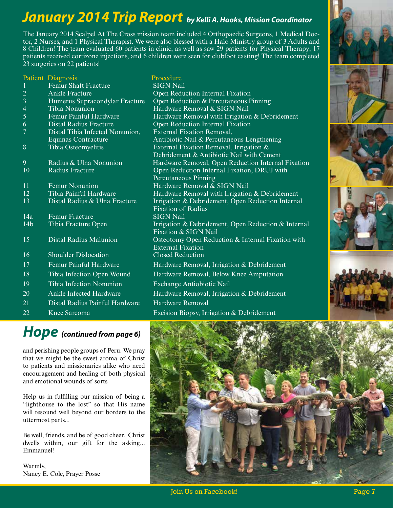# *January 2014 Trip Report by Kelli A. Hooks, Mission Coordinator*

The January 2014 Scalpel At The Cross mission team included 4 Orthopaedic Surgeons, 1 Medical Doctor, 2 Nurses, and 1 Physical Therapist. We were also blessed with a Halo Ministry group of 3 Adults and 8 Children! The team evaluated 60 patients in clinic, as well as saw 29 patients for Physical Therapy; 17 patients received cortizone injections, and 6 children were seen for clubfoot casting! The team completed 23 surgeries on 22 patients!

|                 | Patient Diagnosis               | Procedure                                           |
|-----------------|---------------------------------|-----------------------------------------------------|
|                 | <b>Femur Shaft Fracture</b>     | <b>SIGN Nail</b>                                    |
| $\overline{c}$  | <b>Ankle Fracture</b>           | Open Reduction Internal Fixation                    |
| $\overline{3}$  | Humerus Supracondylar Fracture  | Open Reduction & Percutaneous Pinning               |
| $\overline{4}$  | <b>Tibia Nonunion</b>           | Hardware Removal & SIGN Nail                        |
| 5               | Femur Painful Hardware          | Hardware Removal with Irrigation & Debridement      |
| 6               | <b>Distal Radius Fracture</b>   | Open Reduction Internal Fixation                    |
| $\overline{7}$  | Distal Tibia Infected Nonunion, | External Fixation Removal,                          |
|                 | Equinas Contracture             | Antibiotic Nail & Percutaneous Lengthening          |
| 8               | Tibia Osteomyelitis             | External Fixation Removal, Irrigation $\&$          |
|                 |                                 | Debridement & Antibiotic Nail with Cement           |
| 9               | Radius & Ulna Nonunion          | Hardware Removal, Open Reduction Internal Fixation  |
| 10              | <b>Radius Fracture</b>          | Open Reduction Internal Fixation, DRUJ with         |
|                 |                                 | Percutaneous Pinning                                |
| 11              | Femur Nonunion                  | Hardware Removal & SIGN Nail                        |
| 12              | Tibia Painful Hardware          | Hardware Removal with Irrigation & Debridement      |
| 13              | Distal Radius & Ulna Fracture   | Irrigation & Debridement, Open Reduction Internal   |
|                 |                                 | <b>Fixation of Radius</b>                           |
| $\frac{1}{4a}$  | <b>Femur Fracture</b>           | <b>SIGN Nail</b>                                    |
| 14 <sub>b</sub> | Tibia Fracture Open             | Irrigation & Debridement, Open Reduction & Internal |
|                 |                                 | Fixation & SIGN Nail                                |
| 15              | <b>Distal Radius Malunion</b>   | Osteotomy Open Reduction & Internal Fixation with   |
|                 |                                 | <b>External Fixation</b>                            |
| 16              | <b>Shoulder Dislocation</b>     | <b>Closed Reduction</b>                             |
| 17              | Femur Painful Hardware          | Hardware Removal, Irrigation & Debridement          |
| 18              | Tibia Infection Open Wound      | Hardware Removal, Below Knee Amputation             |
| 19              | Tibia Infection Nonunion        | Exchange Antiobiotic Nail                           |
| 20              | <b>Ankle Infected Hardware</b>  | Hardware Removal, Irrigation & Debridement          |
| 21              | Distal Radius Painful Hardware  | <b>Hardware Removal</b>                             |
|                 |                                 |                                                     |
| 22              | Knee Sarcoma                    | Excision Biopsy, Irrigation & Debridement           |

## *Hope (continued from page 6)*

and perishing people groups of Peru. We pray that we might be the sweet aroma of Christ to patients and missionaries alike who need encouragement and healing of both physical and emotional wounds of sorts.

Help us in fulfilling our mission of being a "lighthouse to the lost" so that His name will resound well beyond our borders to the uttermost parts...

Be well, friends, and be of good cheer. Christ dwells within, our gift for the asking... Emmanuel!

Warmly, Nancy E. Cole, Prayer Posse



Join Us on Facebook! Page 7